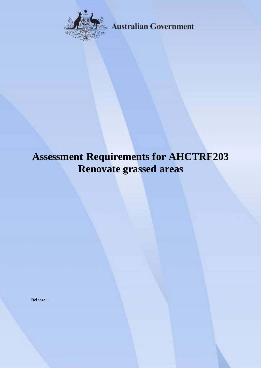

**Australian Government** 

# **Assessment Requirements for AHCTRF203 Renovate grassed areas**

**Release: 1**